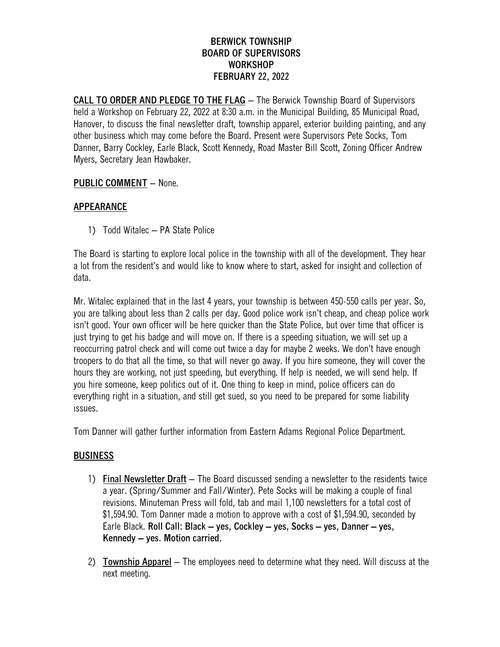## **BERWICK TOWNSHIP BOARD OF SUPERVISORS WORKSHOP FEBRUARY 22, 2022**

**CALL TO ORDER AND PLEDGE TO THE FLAG** – The Berwick Township Board of Supervisors held a Workshop on February 22, 2022 at 8:30 a.m. in the Municipal Building, 85 Municipal Road, Hanover, to discuss the final newsletter draft, township apparel, exterior building painting, and any other business which may come before the Board. Present were Supervisors Pete Socks, Tom Danner, Barry Cockley, Earle Black, Scott Kennedy, Road Master Bill Scott, Zoning Officer Andrew Myers, Secretary Jean Hawbaker.

## **PUBLIC COMMENT** – None.

## **APPEARANCE**

1) Todd Witalec – PA State Police

The Board is starting to explore local police in the township with all of the development. They hear a lot from the resident's and would like to know where to start, asked for insight and collection of data.

Mr. Witalec explained that in the last 4 years, your township is between 450-550 calls per year. So, you are talking about less than 2 calls per day. Good police work isn't cheap, and cheap police work isn't good. Your own officer will be here quicker than the State Police, but over time that officer is just trying to get his badge and will move on. If there is a speeding situation, we will set up a reoccurring patrol check and will come out twice a day for maybe 2 weeks. We don't have enough troopers to do that all the time, so that will never go away. If you hire someone, they will cover the hours they are working, not just speeding, but everything. If help is needed, we will send help. If you hire someone, keep politics out of it. One thing to keep in mind, police officers can do everything right in a situation, and still get sued, so you need to be prepared for some liability issues.

Tom Danner will gather further information from Eastern Adams Regional Police Department.

# **BUSINESS**

- 1) **Final Newsletter Draft** The Board discussed sending a newsletter to the residents twice a year. (Spring/Summer and Fall/Winter). Pete Socks will be making a couple of final revisions. Minuteman Press will fold, tab and mail 1,100 newsletters for a total cost of \$1,594.90. Tom Danner made a motion to approve with a cost of \$1,594.90, seconded by Earle Black. **Roll Call: Black – yes, Cockley – yes, Socks – yes, Danner – yes, Kennedy – yes. Motion carried.**
- 2) **Township Apparel** The employees need to determine what they need. Will discuss at the next meeting.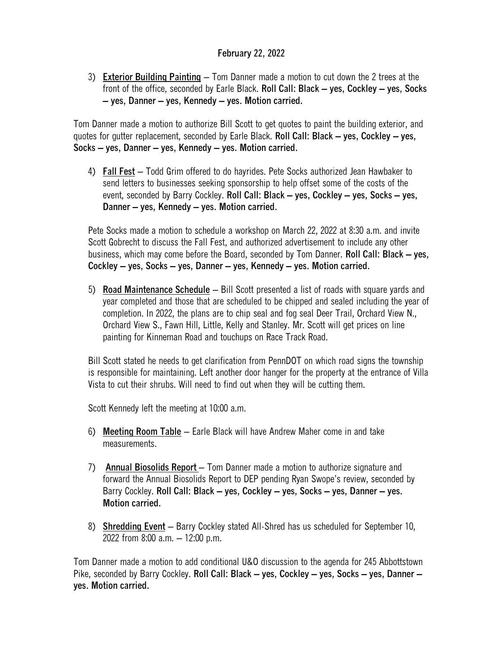## **February 22, 2022**

3) **Exterior Building Painting** – Tom Danner made a motion to cut down the 2 trees at the front of the office, seconded by Earle Black. **Roll Call: Black – yes, Cockley – yes, Socks – yes, Danner – yes, Kennedy – yes. Motion carried.**

Tom Danner made a motion to authorize Bill Scott to get quotes to paint the building exterior, and quotes for gutter replacement, seconded by Earle Black. **Roll Call: Black – yes, Cockley – yes, Socks – yes, Danner – yes, Kennedy – yes. Motion carried.**

4) **Fall Fest** – Todd Grim offered to do hayrides. Pete Socks authorized Jean Hawbaker to send letters to businesses seeking sponsorship to help offset some of the costs of the event, seconded by Barry Cockley. **Roll Call: Black – yes, Cockley – yes, Socks – yes, Danner – yes, Kennedy – yes. Motion carried.**

Pete Socks made a motion to schedule a workshop on March 22, 2022 at 8:30 a.m. and invite Scott Gobrecht to discuss the Fall Fest, and authorized advertisement to include any other business, which may come before the Board, seconded by Tom Danner. **Roll Call: Black – yes, Cockley – yes, Socks – yes, Danner – yes, Kennedy – yes. Motion carried.**

5) **Road Maintenance Schedule** – Bill Scott presented a list of roads with square yards and year completed and those that are scheduled to be chipped and sealed including the year of completion. In 2022, the plans are to chip seal and fog seal Deer Trail, Orchard View N., Orchard View S., Fawn Hill, Little, Kelly and Stanley. Mr. Scott will get prices on line painting for Kinneman Road and touchups on Race Track Road.

Bill Scott stated he needs to get clarification from PennDOT on which road signs the township is responsible for maintaining. Left another door hanger for the property at the entrance of Villa Vista to cut their shrubs. Will need to find out when they will be cutting them.

Scott Kennedy left the meeting at 10:00 a.m.

- 6) **Meeting Room Table** Earle Black will have Andrew Maher come in and take measurements.
- 7) **Annual Biosolids Report**  Tom Danner made a motion to authorize signature and forward the Annual Biosolids Report to DEP pending Ryan Swope's review, seconded by Barry Cockley. **Roll Call: Black – yes, Cockley – yes, Socks – yes, Danner – yes. Motion carried.**
- 8) **Shredding Event** Barry Cockley stated All-Shred has us scheduled for September 10, 2022 from 8:00 a.m. – 12:00 p.m.

Tom Danner made a motion to add conditional U&O discussion to the agenda for 245 Abbottstown Pike, seconded by Barry Cockley. **Roll Call: Black – yes, Cockley – yes, Socks – yes, Danner – yes. Motion carried.**